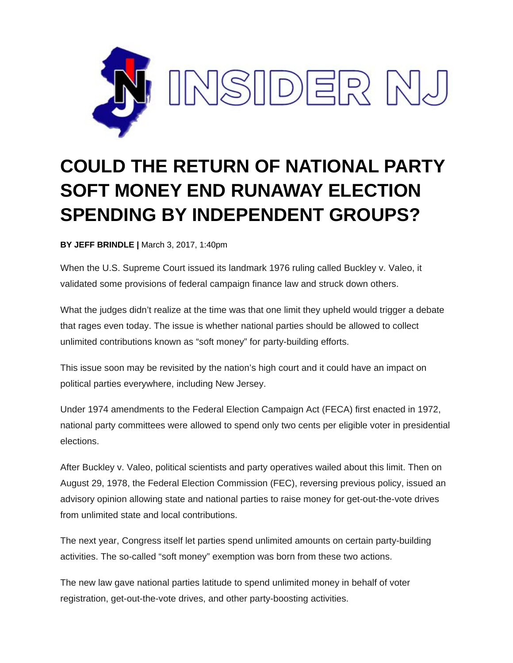

## **COULD THE RETURN OF NATIONAL PARTY SOFT MONEY END RUNAWAY ELECTION SPENDING BY INDEPENDENT GROUPS?**

**BY JEFF BRINDLE |** March 3, 2017, 1:40pm

When the U.S. Supreme Court issued its landmark 1976 ruling called Buckley v. Valeo, it validated some provisions of federal campaign finance law and struck down others.

What the judges didn't realize at the time was that one limit they upheld would trigger a debate that rages even today. The issue is whether national parties should be allowed to collect unlimited contributions known as "soft money" for party-building efforts.

This issue soon may be revisited by the nation's high court and it could have an impact on political parties everywhere, including New Jersey.

Under 1974 amendments to the Federal Election Campaign Act (FECA) first enacted in 1972, national party committees were allowed to spend only two cents per eligible voter in presidential elections.

After Buckley v. Valeo, political scientists and party operatives wailed about this limit. Then on August 29, 1978, the Federal Election Commission (FEC), reversing previous policy, issued an advisory opinion allowing state and national parties to raise money for get-out-the-vote drives from unlimited state and local contributions.

The next year, Congress itself let parties spend unlimited amounts on certain party-building activities. The so-called "soft money" exemption was born from these two actions.

The new law gave national parties latitude to spend unlimited money in behalf of voter registration, get-out-the-vote drives, and other party-boosting activities.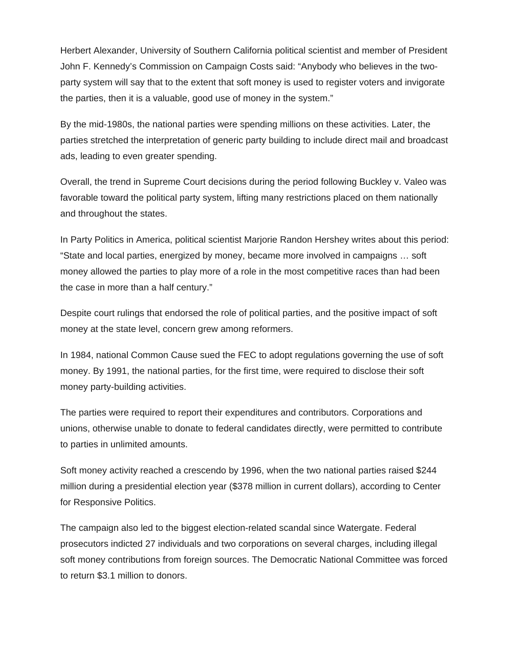Herbert Alexander, University of Southern California political scientist and member of President John F. Kennedy's Commission on Campaign Costs said: "Anybody who believes in the twoparty system will say that to the extent that soft money is used to register voters and invigorate the parties, then it is a valuable, good use of money in the system."

By the mid-1980s, the national parties were spending millions on these activities. Later, the parties stretched the interpretation of generic party building to include direct mail and broadcast ads, leading to even greater spending.

Overall, the trend in Supreme Court decisions during the period following Buckley v. Valeo was favorable toward the political party system, lifting many restrictions placed on them nationally and throughout the states.

In Party Politics in America, political scientist Marjorie Randon Hershey writes about this period: "State and local parties, energized by money, became more involved in campaigns … soft money allowed the parties to play more of a role in the most competitive races than had been the case in more than a half century."

Despite court rulings that endorsed the role of political parties, and the positive impact of soft money at the state level, concern grew among reformers.

In 1984, national Common Cause sued the FEC to adopt regulations governing the use of soft money. By 1991, the national parties, for the first time, were required to disclose their soft money party-building activities.

The parties were required to report their expenditures and contributors. Corporations and unions, otherwise unable to donate to federal candidates directly, were permitted to contribute to parties in unlimited amounts.

Soft money activity reached a crescendo by 1996, when the two national parties raised \$244 million during a presidential election year (\$378 million in current dollars), according to Center for Responsive Politics.

The campaign also led to the biggest election-related scandal since Watergate. Federal prosecutors indicted 27 individuals and two corporations on several charges, including illegal soft money contributions from foreign sources. The Democratic National Committee was forced to return \$3.1 million to donors.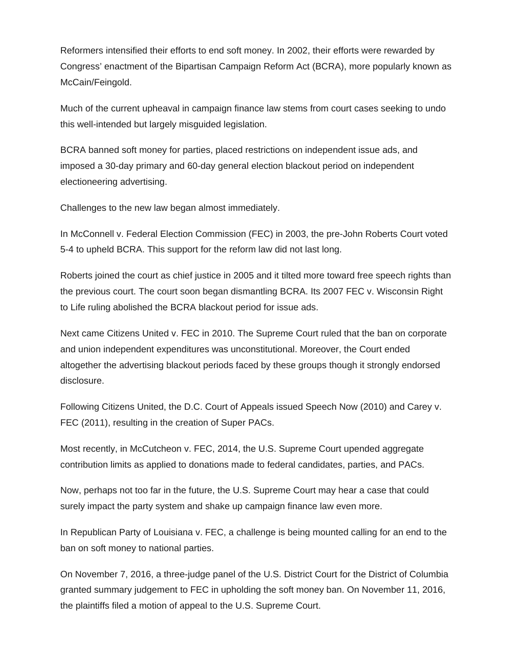Reformers intensified their efforts to end soft money. In 2002, their efforts were rewarded by Congress' enactment of the Bipartisan Campaign Reform Act (BCRA), more popularly known as McCain/Feingold.

Much of the current upheaval in campaign finance law stems from court cases seeking to undo this well-intended but largely misguided legislation.

BCRA banned soft money for parties, placed restrictions on independent issue ads, and imposed a 30-day primary and 60-day general election blackout period on independent electioneering advertising.

Challenges to the new law began almost immediately.

In McConnell v. Federal Election Commission (FEC) in 2003, the pre-John Roberts Court voted 5-4 to upheld BCRA. This support for the reform law did not last long.

Roberts joined the court as chief justice in 2005 and it tilted more toward free speech rights than the previous court. The court soon began dismantling BCRA. Its 2007 FEC v. Wisconsin Right to Life ruling abolished the BCRA blackout period for issue ads.

Next came Citizens United v. FEC in 2010. The Supreme Court ruled that the ban on corporate and union independent expenditures was unconstitutional. Moreover, the Court ended altogether the advertising blackout periods faced by these groups though it strongly endorsed disclosure.

Following Citizens United, the D.C. Court of Appeals issued Speech Now (2010) and Carey v. FEC (2011), resulting in the creation of Super PACs.

Most recently, in McCutcheon v. FEC, 2014, the U.S. Supreme Court upended aggregate contribution limits as applied to donations made to federal candidates, parties, and PACs.

Now, perhaps not too far in the future, the U.S. Supreme Court may hear a case that could surely impact the party system and shake up campaign finance law even more.

In Republican Party of Louisiana v. FEC, a challenge is being mounted calling for an end to the ban on soft money to national parties.

On November 7, 2016, a three-judge panel of the U.S. District Court for the District of Columbia granted summary judgement to FEC in upholding the soft money ban. On November 11, 2016, the plaintiffs filed a motion of appeal to the U.S. Supreme Court.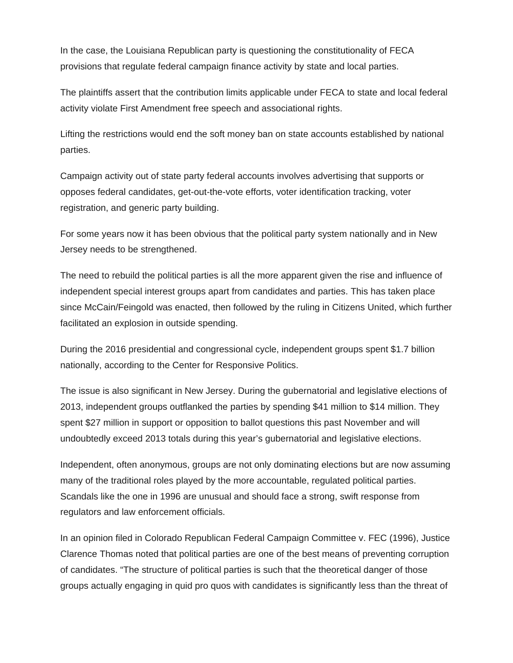In the case, the Louisiana Republican party is questioning the constitutionality of FECA provisions that regulate federal campaign finance activity by state and local parties.

The plaintiffs assert that the contribution limits applicable under FECA to state and local federal activity violate First Amendment free speech and associational rights.

Lifting the restrictions would end the soft money ban on state accounts established by national parties.

Campaign activity out of state party federal accounts involves advertising that supports or opposes federal candidates, get-out-the-vote efforts, voter identification tracking, voter registration, and generic party building.

For some years now it has been obvious that the political party system nationally and in New Jersey needs to be strengthened.

The need to rebuild the political parties is all the more apparent given the rise and influence of independent special interest groups apart from candidates and parties. This has taken place since McCain/Feingold was enacted, then followed by the ruling in Citizens United, which further facilitated an explosion in outside spending.

During the 2016 presidential and congressional cycle, independent groups spent \$1.7 billion nationally, according to the Center for Responsive Politics.

The issue is also significant in New Jersey. During the gubernatorial and legislative elections of 2013, independent groups outflanked the parties by spending \$41 million to \$14 million. They spent \$27 million in support or opposition to ballot questions this past November and will undoubtedly exceed 2013 totals during this year's gubernatorial and legislative elections.

Independent, often anonymous, groups are not only dominating elections but are now assuming many of the traditional roles played by the more accountable, regulated political parties. Scandals like the one in 1996 are unusual and should face a strong, swift response from regulators and law enforcement officials.

In an opinion filed in Colorado Republican Federal Campaign Committee v. FEC (1996), Justice Clarence Thomas noted that political parties are one of the best means of preventing corruption of candidates. "The structure of political parties is such that the theoretical danger of those groups actually engaging in quid pro quos with candidates is significantly less than the threat of